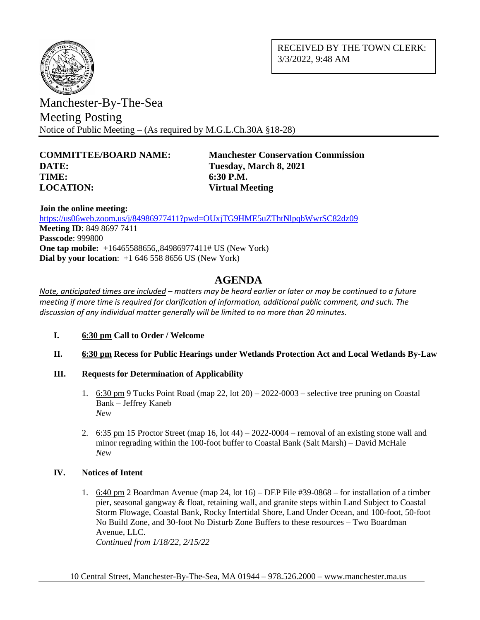

RECEIVED BY THE TOWN CLERK: 3/3/2022, 9:48 AM

Manchester-By-The-Sea Meeting Posting Notice of Public Meeting – (As required by M.G.L.Ch.30A §18-28)

# **DATE: Tuesday, March 8, 2021 TIME: 6:30 P.M. LOCATION: Virtual Meeting**

**COMMITTEE/BOARD NAME: Manchester Conservation Commission**

**Join the online meeting:**

<https://us06web.zoom.us/j/84986977411?pwd=OUxjTG9HME5uZThtNlpqbWwrSC82dz09> **Meeting ID**: 849 8697 7411 **Passcode**: 999800 **One tap mobile:**  $+16465588656,84986977411\# US (New York)$ **Dial by your location**: +1 646 558 8656 US (New York)

# **AGENDA**

*Note, anticipated times are included – matters may be heard earlier or later or may be continued to a future meeting if more time is required for clarification of information, additional public comment, and such. The discussion of any individual matter generally will be limited to no more than 20 minutes.*

- **I. 6:30 pm Call to Order / Welcome**
- **II. 6:30 pm Recess for Public Hearings under Wetlands Protection Act and Local Wetlands By-Law**
- **III. Requests for Determination of Applicability**
	- 1. 6:30 pm 9 Tucks Point Road (map  $22$ , lot  $20$ )  $2022$ -0003 selective tree pruning on Coastal Bank – Jeffrey Kaneb *New*
	- 2. 6:35 pm 15 Proctor Street (map 16, lot  $44$ ) 2022-0004 removal of an existing stone wall and minor regrading within the 100-foot buffer to Coastal Bank (Salt Marsh) – David McHale *New*

### **IV. Notices of Intent**

1. 6:40 pm 2 Boardman Avenue (map 24, lot 16) – DEP File #39-0868 – for installation of a timber pier, seasonal gangway & float, retaining wall, and granite steps within Land Subject to Coastal Storm Flowage, Coastal Bank, Rocky Intertidal Shore, Land Under Ocean, and 100-foot, 50-foot No Build Zone, and 30-foot No Disturb Zone Buffers to these resources – Two Boardman Avenue, LLC. *Continued from 1/18/22, 2/15/22*

10 Central Street, Manchester-By-The-Sea, MA 01944 – 978.526.2000 – www.manchester.ma.us